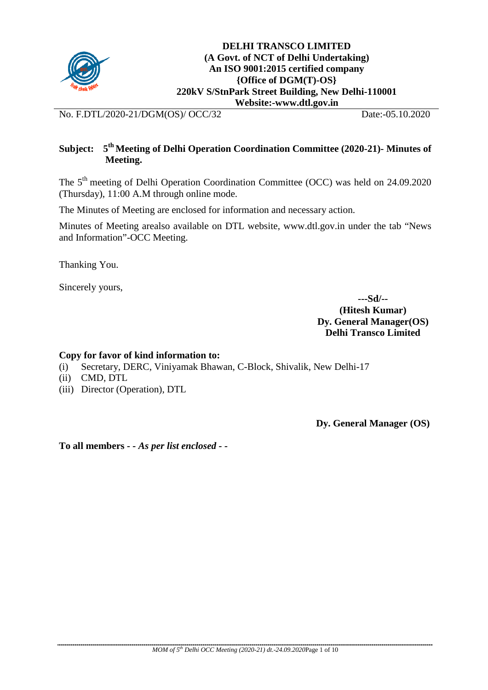

No. F.DTL/2020-21/DGM(OS)/ OCC/32 Date:-05.10.2020

## **Subject: 5th Meeting of Delhi Operation Coordination Committee (2020-21)- Minutes of Meeting.**

The 5<sup>th</sup> meeting of Delhi Operation Coordination Committee (OCC) was held on 24.09.2020 (Thursday), 11:00 A.M through online mode.

The Minutes of Meeting are enclosed for information and necessary action.

Minutes of Meeting arealso available on DTL website, [www.dtl.gov.in](http://www.dtl.gov.in/) under the tab "News and Information"-OCC Meeting.

Thanking You.

Sincerely yours,

**---Sd/-- (Hitesh Kumar) Dy. General Manager(OS) Delhi Transco Limited**

#### **Copy for favor of kind information to:**

- (i) Secretary, DERC, Viniyamak Bhawan, C-Block, Shivalik, New Delhi-17
- (ii) CMD, DTL
- (iii) Director (Operation), DTL

**Dy. General Manager (OS)**

**To all members** *- - As per list enclosed - -*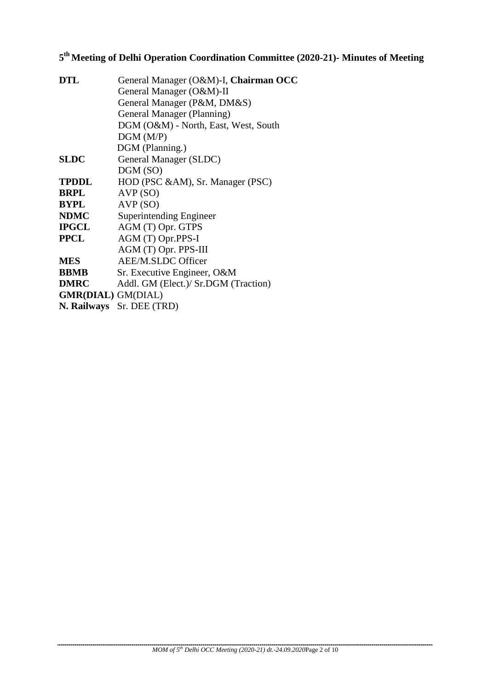# **5th Meeting of Delhi Operation Coordination Committee (2020-21)- Minutes of Meeting**

| <b>DTL</b>                | General Manager (O&M)-I, Chairman OCC |
|---------------------------|---------------------------------------|
|                           | General Manager (O&M)-II              |
|                           | General Manager (P&M, DM&S)           |
|                           | General Manager (Planning)            |
|                           | DGM (O&M) - North, East, West, South  |
|                           | DGM(M/P)                              |
|                           | DGM (Planning.)                       |
| <b>SLDC</b>               | General Manager (SLDC)                |
|                           | DGM (SO)                              |
| <b>TPDDL</b>              | HOD (PSC &AM), Sr. Manager (PSC)      |
| <b>BRPL</b>               | AVP(SO)                               |
| <b>BYPL</b>               | AVP(SO)                               |
| <b>NDMC</b>               | Superintending Engineer               |
| <b>IPGCL</b>              | AGM (T) Opr. GTPS                     |
| <b>PPCL</b>               | AGM (T) Opr.PPS-I                     |
|                           | AGM (T) Opr. PPS-III                  |
| <b>MES</b>                | <b>AEE/M.SLDC Officer</b>             |
| <b>BBMB</b>               | Sr. Executive Engineer, O&M           |
| <b>DMRC</b>               | Addl. GM (Elect.)/ Sr.DGM (Traction)  |
| <b>GMR(DIAL)</b> GM(DIAL) |                                       |
|                           | N. Railways Sr. DEE (TRD)             |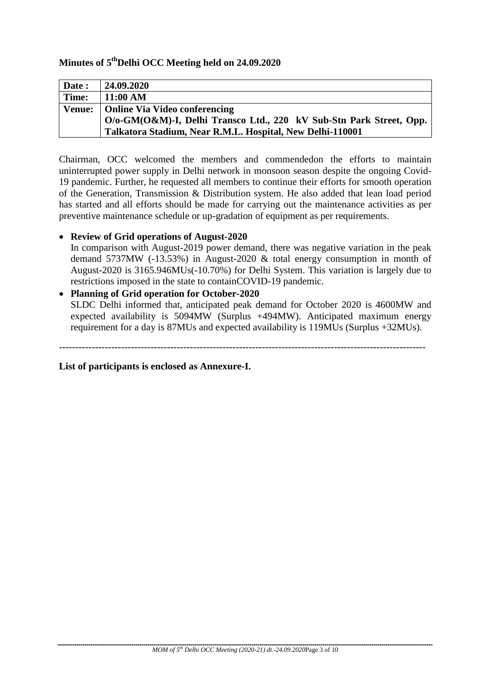## **Minutes of 5thDelhi OCC Meeting held on 24.09.2020**

| Date:  | 24.09.2020                                                          |
|--------|---------------------------------------------------------------------|
| Time:  | 11:00 AM                                                            |
| Venue: | Online Via Video conferencing                                       |
|        | O/o-GM(O&M)-I, Delhi Transco Ltd., 220 kV Sub-Stn Park Street, Opp. |
|        | Talkatora Stadium, Near R.M.L. Hospital, New Delhi-110001           |

Chairman, OCC welcomed the members and commendedon the efforts to maintain uninterrupted power supply in Delhi network in monsoon season despite the ongoing Covid-19 pandemic. Further, he requested all members to continue their efforts for smooth operation of the Generation, Transmission & Distribution system. He also added that lean load period has started and all efforts should be made for carrying out the maintenance activities as per preventive maintenance schedule or up-gradation of equipment as per requirements.

- **Review of Grid operations of August-2020**
	- In comparison with August-2019 power demand, there was negative variation in the peak demand 5737MW (-13.53%) in August-2020 & total energy consumption in month of August-2020 is 3165.946MUs(-10.70%) for Delhi System. This variation is largely due to restrictions imposed in the state to containCOVID-19 pandemic.
- **Planning of Grid operation for October-2020** SLDC Delhi informed that, anticipated peak demand for October 2020 is 4600MW and

expected availability is 5094MW (Surplus +494MW). Anticipated maximum energy requirement for a day is 87MUs and expected availability is 119MUs (Surplus +32MUs).

----------------------------------------------------------------------------------------------------------------

**List of participants is enclosed as Annexure-I.**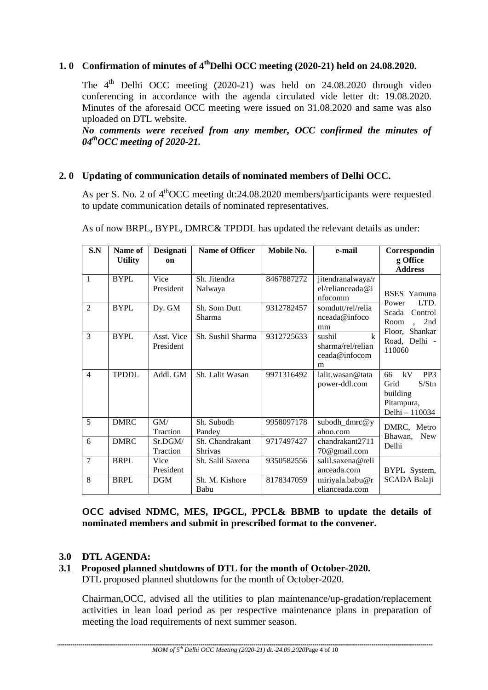## **1. 0 Confirmation of minutes of 4thDelhi OCC meeting (2020-21) held on 24.08.2020.**

The  $4<sup>th</sup>$  Delhi OCC meeting (2020-21) was held on 24.08.2020 through video conferencing in accordance with the agenda circulated vide letter dt: 19.08.2020. Minutes of the aforesaid OCC meeting were issued on 31.08.2020 and same was also uploaded on DTL website.

*No comments were received from any member, OCC confirmed the minutes of 04thOCC meeting of 2020-21.*

## **2. 0 Updating of communication details of nominated members of Delhi OCC.**

As per S. No. 2 of  $4^{\text{th}}$ OCC meeting dt:24.08.2020 members/participants were requested to update communication details of nominated representatives.

As of now BRPL, BYPL, DMRC& TPDDL has updated the relevant details as under:

| S.N            | Name of        | Designati               | <b>Name of Officer</b>            | Mobile No. | e-mail                                                            | Correspondin                                                                             |
|----------------|----------------|-------------------------|-----------------------------------|------------|-------------------------------------------------------------------|------------------------------------------------------------------------------------------|
|                | <b>Utility</b> | <sub>on</sub>           |                                   |            |                                                                   | g Office<br><b>Address</b>                                                               |
| 1              | <b>BYPL</b>    | Vice<br>President       | Sh. Jitendra<br>Nalwaya           | 8467887272 | jitendranalwaya/r<br>el/relianceada@i<br>nfocomm                  | <b>BSES</b> Yamuna<br>LTD.<br>Power                                                      |
| $\overline{2}$ | <b>BYPL</b>    | Dy. GM                  | Sh. Som Dutt<br>Sharma            | 9312782457 | somdutt/rel/relia<br>nceada@infoco<br>mm                          | Scada<br>Control<br>2nd<br>Room<br>Floor, Shankar                                        |
| 3              | <b>BYPL</b>    | Asst. Vice<br>President | Sh. Sushil Sharma                 | 9312725633 | $\mathbf{k}$<br>sushil<br>sharma/rel/relian<br>ceada@infocom<br>m | Road, Delhi -<br>110060                                                                  |
| $\overline{4}$ | <b>TPDDL</b>   | Addl. GM                | Sh. Lalit Wasan                   | 9971316492 | lalit.wasan@tata<br>power-ddl.com                                 | kV<br>PP <sub>3</sub><br>66<br>S/Stn<br>Grid<br>building<br>Pitampura,<br>Delhi - 110034 |
| 5              | <b>DMRC</b>    | GM/<br>Traction         | Sh. Subodh<br>Pandey              | 9958097178 | subodh_dmrc@y<br>ahoo.com                                         | DMRC, Metro<br>Bhawan,<br><b>New</b>                                                     |
| 6              | <b>DMRC</b>    | Sr.DGM/<br>Traction     | Sh. Chandrakant<br><b>Shrivas</b> | 9717497427 | chandrakant2711<br>70@gmail.com                                   | Delhi                                                                                    |
| $\overline{7}$ | <b>BRPL</b>    | Vice<br>President       | Sh. Salil Saxena                  | 9350582556 | salil.saxena@reli<br>anceada.com                                  | BYPL System,                                                                             |
| 8              | <b>BRPL</b>    | <b>DGM</b>              | Sh. M. Kishore<br>Babu            | 8178347059 | miriyala.babu@r<br>elianceada.com                                 | <b>SCADA Balaji</b>                                                                      |

**OCC advised NDMC, MES, IPGCL, PPCL& BBMB to update the details of nominated members and submit in prescribed format to the convener.**

#### **3.0 DTL AGENDA:**

#### **3.1 Proposed planned shutdowns of DTL for the month of October-2020.** DTL proposed planned shutdowns for the month of October-2020.

Chairman,OCC, advised all the utilities to plan maintenance/up-gradation/replacement activities in lean load period as per respective maintenance plans in preparation of meeting the load requirements of next summer season.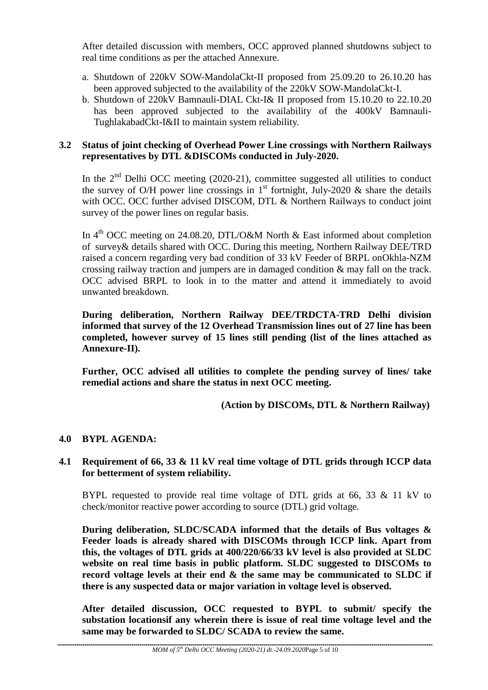After detailed discussion with members, OCC approved planned shutdowns subject to real time conditions as per the attached Annexure.

- a. Shutdown of 220kV SOW-MandolaCkt-II proposed from 25.09.20 to 26.10.20 has been approved subjected to the availability of the 220kV SOW-MandolaCkt-I.
- b. Shutdown of 220kV Bamnauli-DIAL Ckt-I& II proposed from 15.10.20 to 22.10.20 has been approved subjected to the availability of the 400kV Bamnauli-TughlakabadCkt-I&II to maintain system reliability.

## **3.2 Status of joint checking of Overhead Power Line crossings with Northern Railways representatives by DTL &DISCOMs conducted in July-2020.**

In the  $2<sup>nd</sup>$  Delhi OCC meeting (2020-21), committee suggested all utilities to conduct the survey of O/H power line crossings in  $1<sup>st</sup>$  fortnight, July-2020 & share the details with OCC. OCC further advised DISCOM, DTL & Northern Railways to conduct joint survey of the power lines on regular basis.

In  $4^{\text{th}}$  OCC meeting on 24.08.20, DTL/O&M North & East informed about completion of survey& details shared with OCC. During this meeting, Northern Railway DEE/TRD raised a concern regarding very bad condition of 33 kV Feeder of BRPL onOkhla-NZM crossing railway traction and jumpers are in damaged condition & may fall on the track. OCC advised BRPL to look in to the matter and attend it immediately to avoid unwanted breakdown.

**During deliberation, Northern Railway DEE/TRDCTA-TRD Delhi division informed that survey of the 12 Overhead Transmission lines out of 27 line has been completed, however survey of 15 lines still pending (list of the lines attached as Annexure-II).**

**Further, OCC advised all utilities to complete the pending survey of lines/ take remedial actions and share the status in next OCC meeting.**

 **(Action by DISCOMs, DTL & Northern Railway)**

## **4.0 BYPL AGENDA:**

#### **4.1 Requirement of 66, 33 & 11 kV real time voltage of DTL grids through ICCP data for betterment of system reliability.**

BYPL requested to provide real time voltage of DTL grids at 66, 33 & 11 kV to check/monitor reactive power according to source (DTL) grid voltage.

**During deliberation, SLDC/SCADA informed that the details of Bus voltages & Feeder loads is already shared with DISCOMs through ICCP link. Apart from this, the voltages of DTL grids at 400/220/66/33 kV level is also provided at SLDC website on real time basis in public platform. SLDC suggested to DISCOMs to record voltage levels at their end & the same may be communicated to SLDC if there is any suspected data or major variation in voltage level is observed.**

**After detailed discussion, OCC requested to BYPL to submit/ specify the substation locationsif any wherein there is issue of real time voltage level and the same may be forwarded to SLDC/ SCADA to review the same.**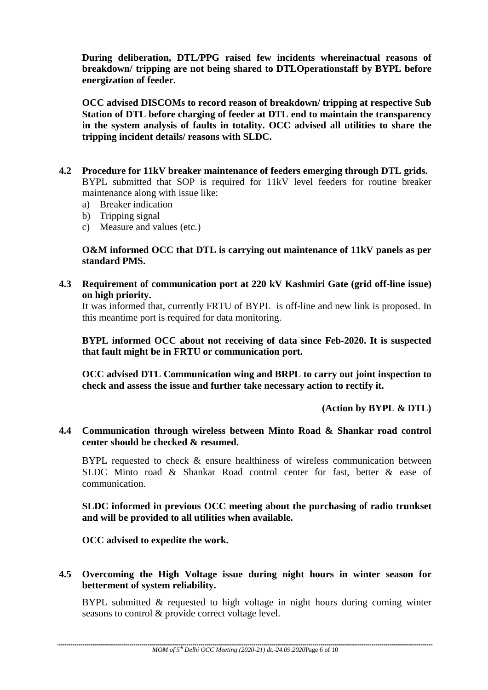**During deliberation, DTL/PPG raised few incidents whereinactual reasons of breakdown/ tripping are not being shared to DTLOperationstaff by BYPL before energization of feeder.** 

**OCC advised DISCOMs to record reason of breakdown/ tripping at respective Sub Station of DTL before charging of feeder at DTL end to maintain the transparency in the system analysis of faults in totality. OCC advised all utilities to share the tripping incident details/ reasons with SLDC.**

- **4.2 Procedure for 11kV breaker maintenance of feeders emerging through DTL grids.**  BYPL submitted that SOP is required for 11kV level feeders for routine breaker maintenance along with issue like:
	- a) Breaker indication
	- b) Tripping signal
	- c) Measure and values (etc.)

## **O&M informed OCC that DTL is carrying out maintenance of 11kV panels as per standard PMS.**

**4.3 Requirement of communication port at 220 kV Kashmiri Gate (grid off-line issue) on high priority.**

It was informed that, currently FRTU of BYPL is off-line and new link is proposed. In this meantime port is required for data monitoring.

**BYPL informed OCC about not receiving of data since Feb-2020. It is suspected that fault might be in FRTU or communication port.**

**OCC advised DTL Communication wing and BRPL to carry out joint inspection to check and assess the issue and further take necessary action to rectify it.**

 **(Action by BYPL & DTL)**

## **4.4 Communication through wireless between Minto Road & Shankar road control center should be checked & resumed.**

BYPL requested to check & ensure healthiness of wireless communication between SLDC Minto road & Shankar Road control center for fast, better & ease of communication.

**SLDC informed in previous OCC meeting about the purchasing of radio trunkset and will be provided to all utilities when available.**

**OCC advised to expedite the work.**

## **4.5 Overcoming the High Voltage issue during night hours in winter season for betterment of system reliability.**

BYPL submitted & requested to high voltage in night hours during coming winter seasons to control & provide correct voltage level.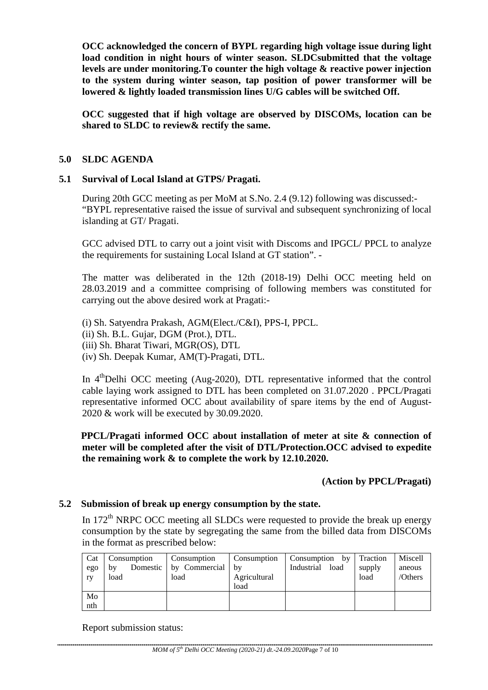**OCC acknowledged the concern of BYPL regarding high voltage issue during light load condition in night hours of winter season. SLDCsubmitted that the voltage levels are under monitoring.To counter the high voltage & reactive power injection to the system during winter season, tap position of power transformer will be lowered & lightly loaded transmission lines U/G cables will be switched Off.**

**OCC suggested that if high voltage are observed by DISCOMs, location can be shared to SLDC to review& rectify the same.**

## **5.0 SLDC AGENDA**

#### **5.1 Survival of Local Island at GTPS/ Pragati.**

During 20th GCC meeting as per MoM at S.No. 2.4 (9.12) following was discussed:- "BYPL representative raised the issue of survival and subsequent synchronizing of local islanding at GT/ Pragati.

GCC advised DTL to carry out a joint visit with Discoms and IPGCL/ PPCL to analyze the requirements for sustaining Local Island at GT station". -

The matter was deliberated in the 12th (2018-19) Delhi OCC meeting held on 28.03.2019 and a committee comprising of following members was constituted for carrying out the above desired work at Pragati:-

(i) Sh. Satyendra Prakash, AGM(Elect./C&I), PPS-I, PPCL.

(ii) Sh. B.L. Gujar, DGM (Prot.), DTL. (iii) Sh. Bharat Tiwari, MGR(OS), DTL

(iv) Sh. Deepak Kumar, AM(T)-Pragati, DTL.

In 4<sup>th</sup>Delhi OCC meeting (Aug-2020), DTL representative informed that the control cable laying work assigned to DTL has been completed on 31.07.2020 . PPCL/Pragati representative informed OCC about availability of spare items by the end of August-2020 & work will be executed by 30.09.2020.

**PPCL/Pragati informed OCC about installation of meter at site & connection of meter will be completed after the visit of DTL/Protection.OCC advised to expedite the remaining work & to complete the work by 12.10.2020.** 

## **(Action by PPCL/Pragati)**

## **5.2 Submission of break up energy consumption by the state.**

In  $172<sup>th</sup>$  NRPC OCC meeting all SLDCs were requested to provide the break up energy consumption by the state by segregating the same from the billed data from DISCOMs in the format as prescribed below:

| Cat<br>ego<br>1V | Consumption<br>by<br>load | Consumption<br>Domestic   by Commercial   by<br>load | Consumption<br>Agricultural<br>load | Consumption by Traction<br>Industrial load | supply<br>load | Miscell<br>aneous<br>/Others |
|------------------|---------------------------|------------------------------------------------------|-------------------------------------|--------------------------------------------|----------------|------------------------------|
| Mo<br>nth        |                           |                                                      |                                     |                                            |                |                              |

Report submission status: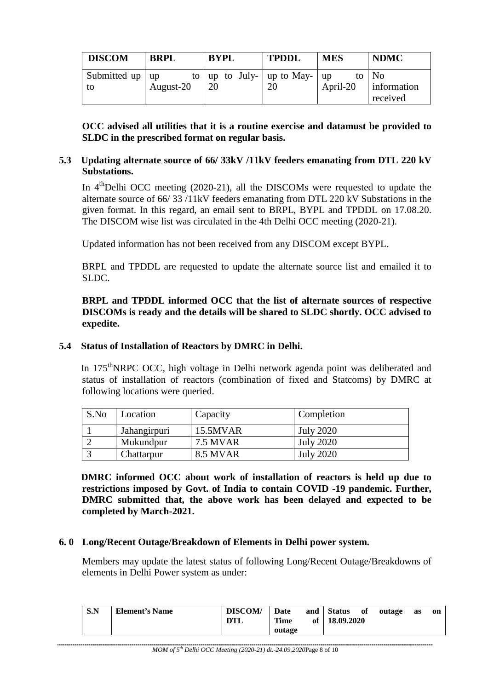| <b>DISCOM</b>             | <b>BRPL</b> | <b>BYPL</b>                                                | <b>TPDDL</b> | <b>MES</b> | <b>NDMC</b>                        |
|---------------------------|-------------|------------------------------------------------------------|--------------|------------|------------------------------------|
| Submitted up $ $ up<br>to | August-20   | to $\vert$ up to July- $\vert$ up to May- $\vert$ up<br>20 | 20           | April-20   | to   No<br>information<br>received |

**OCC advised all utilities that it is a routine exercise and datamust be provided to SLDC in the prescribed format on regular basis.**

## **5.3 Updating alternate source of 66/ 33kV /11kV feeders emanating from DTL 220 kV Substations.**

In  $4<sup>th</sup>$ Delhi OCC meeting (2020-21), all the DISCOMs were requested to update the alternate source of 66/ 33 /11kV feeders emanating from DTL 220 kV Substations in the given format. In this regard, an email sent to BRPL, BYPL and TPDDL on 17.08.20. The DISCOM wise list was circulated in the 4th Delhi OCC meeting (2020-21).

Updated information has not been received from any DISCOM except BYPL.

BRPL and TPDDL are requested to update the alternate source list and emailed it to SLDC.

**BRPL and TPDDL informed OCC that the list of alternate sources of respective DISCOMs is ready and the details will be shared to SLDC shortly. OCC advised to expedite.**

#### **5.4 Status of Installation of Reactors by DMRC in Delhi.**

In  $175<sup>th</sup>NRPC OCC$ , high voltage in Delhi network agenda point was deliberated and status of installation of reactors (combination of fixed and Statcoms) by DMRC at following locations were queried.

| S.No | Location     | Capacity        | Completion       |
|------|--------------|-----------------|------------------|
|      | Jahangirpuri | 15.5MVAR        | <b>July 2020</b> |
|      | Mukundpur    | <b>7.5 MVAR</b> | <b>July 2020</b> |
|      | Chattarpur   | 8.5 MVAR        | <b>July 2020</b> |

**DMRC informed OCC about work of installation of reactors is held up due to restrictions imposed by Govt. of India to contain COVID -19 pandemic. Further, DMRC submitted that, the above work has been delayed and expected to be completed by March-2021.**

#### **6. 0 Long/Recent Outage/Breakdown of Elements in Delhi power system.**

Members may update the latest status of following Long/Recent Outage/Breakdowns of elements in Delhi Power system as under:

| S.N | <b>Element's Name</b> | <b>DISCOM/</b><br>DTL | Date<br>Time | and Status<br>of $\sqrt{18.09.2020}$ | - of | outage | <b>as</b> | on |
|-----|-----------------------|-----------------------|--------------|--------------------------------------|------|--------|-----------|----|
|     |                       |                       | outage       |                                      |      |        |           |    |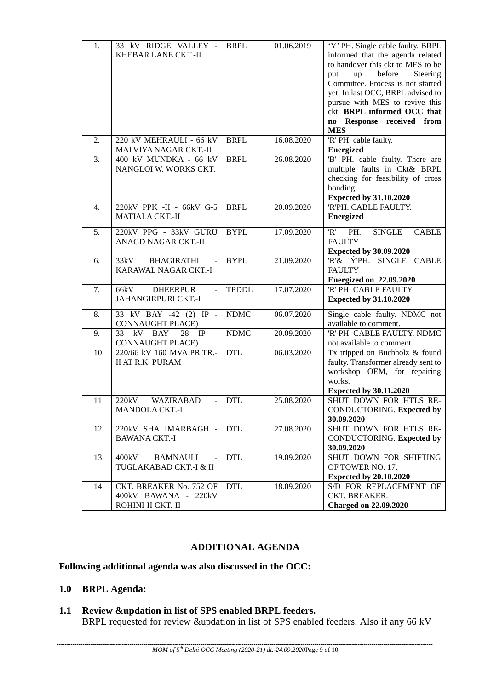| 1.  | 33 kV RIDGE VALLEY -<br>KHEBAR LANE CKT.-II                                | <b>BRPL</b>  | 01.06.2019 | 'Y' PH. Single cable faulty. BRPL<br>informed that the agenda related<br>to handover this ckt to MES to be<br>before<br>Steering<br>put<br>up<br>Committee. Process is not started<br>yet. In last OCC, BRPL advised to<br>pursue with MES to revive this<br>ckt. BRPL informed OCC that<br>no Response received from<br><b>MES</b> |
|-----|----------------------------------------------------------------------------|--------------|------------|-------------------------------------------------------------------------------------------------------------------------------------------------------------------------------------------------------------------------------------------------------------------------------------------------------------------------------------|
| 2.  | 220 kV MEHRAULI - 66 kV<br>MALVIYA NAGAR CKT.-II                           | <b>BRPL</b>  | 16.08.2020 | 'R' PH. cable faulty.<br><b>Energized</b>                                                                                                                                                                                                                                                                                           |
| 3.  | 400 kV MUNDKA - 66 kV<br>NANGLOI W. WORKS CKT.                             | <b>BRPL</b>  | 26.08.2020 | 'B' PH. cable faulty. There are<br>multiple faults in Ckt& BRPL<br>checking for feasibility of cross<br>bonding.<br><b>Expected by 31.10.2020</b>                                                                                                                                                                                   |
| 4.  | 220kV PPK -II - 66kV G-5<br><b>MATIALA CKT.-II</b>                         | <b>BRPL</b>  | 20.09.2020 | 'R'PH. CABLE FAULTY.<br><b>Energized</b>                                                                                                                                                                                                                                                                                            |
| 5.  | 220kV PPG - 33kV GURU<br>ANAGD NAGAR CKT.-II                               | <b>BYPL</b>  | 17.09.2020 | <b>SINGLE</b><br>'R'<br>PH.<br><b>CABLE</b><br><b>FAULTY</b><br><b>Expected by 30.09.2020</b>                                                                                                                                                                                                                                       |
| 6.  | 33kV<br><b>BHAGIRATHI</b><br>KARAWAL NAGAR CKT.-I                          | <b>BYPL</b>  | 21.09.2020 | $\overline{\text{R'}}\&\text{Y'}\text{PH}.$<br>SINGLE CABLE<br><b>FAULTY</b><br><b>Energized on 22.09.2020</b>                                                                                                                                                                                                                      |
| 7.  | 66kV<br><b>DHEERPUR</b><br>JAHANGIRPURI CKT.-I                             | <b>TPDDL</b> | 17.07.2020 | 'R' PH. CABLE FAULTY<br><b>Expected by 31.10.2020</b>                                                                                                                                                                                                                                                                               |
| 8.  | 33 kV BAY -42 (2) IP -<br><b>CONNAUGHT PLACE)</b>                          | <b>NDMC</b>  | 06.07.2020 | Single cable faulty. NDMC not<br>available to comment.                                                                                                                                                                                                                                                                              |
| 9.  | kV BAY -28 IP<br>33<br>$\overline{\phantom{a}}$<br><b>CONNAUGHT PLACE)</b> | <b>NDMC</b>  | 20.09.2020 | 'R' PH. CABLE FAULTY. NDMC<br>not available to comment.                                                                                                                                                                                                                                                                             |
| 10. | 220/66 kV 160 MVA PR.TR.-<br><b>II AT R.K. PURAM</b>                       | <b>DTL</b>   | 06.03.2020 | Tx tripped on Buchholz & found<br>faulty. Transformer already sent to<br>workshop OEM, for repairing<br>works.<br><b>Expected by 30.11.2020</b>                                                                                                                                                                                     |
| 11. | 220kV<br><b>WAZIRABAD</b><br><b>MANDOLA CKT.-I</b>                         | <b>DTL</b>   | 25.08.2020 | SHUT DOWN FOR HTLS RE-<br>CONDUCTORING. Expected by<br>30.09.2020                                                                                                                                                                                                                                                                   |
| 12. | 220kV SHALIMARBAGH -<br><b>BAWANA CKT.-I</b>                               | <b>DTL</b>   | 27.08.2020 | SHUT DOWN FOR HTLS RE-<br>CONDUCTORING. Expected by<br>30.09.2020                                                                                                                                                                                                                                                                   |
| 13. | 400kV<br><b>BAMNAULI</b><br>TUGLAKABAD CKT.-I & II                         | <b>DTL</b>   | 19.09.2020 | SHUT DOWN FOR SHIFTING<br>OF TOWER NO. 17.<br><b>Expected by 20.10.2020</b>                                                                                                                                                                                                                                                         |
| 14. | CKT. BREAKER No. 752 OF<br>400kV BAWANA - 220kV<br>ROHINI-II CKT.-II       | <b>DTL</b>   | 18.09.2020 | S/D FOR REPLACEMENT OF<br>CKT. BREAKER.<br><b>Charged on 22.09.2020</b>                                                                                                                                                                                                                                                             |

## **ADDITIONAL AGENDA**

**Following additional agenda was also discussed in the OCC:** 

- **1.0 BRPL Agenda:**
- **1.1 Review &updation in list of SPS enabled BRPL feeders.** BRPL requested for review &updation in list of SPS enabled feeders. Also if any 66 kV